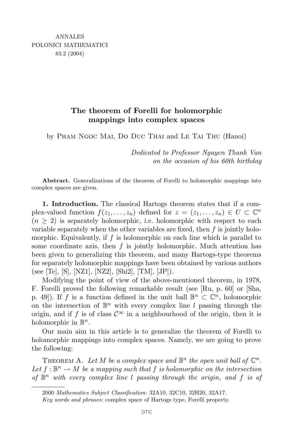## **The theorem of Forelli for holomorphic mappings into complex spaces**

by Pham Ngoc Mai, Do Duc Thai and Le Tai Thu (Hanoi)

*Dedicated to Professor Nguyen Thanh Van on the occasion of his 60th birthday*

**Abstract.** Generalizations of the theorem of Forelli to holomorphic mappings into complex spaces are given.

**1. Introduction.** The classical Hartogs theorem states that if a complex-valued function  $f(z_1,...,z_n)$  defined for  $z = (z_1,...,z_n) \in U \subset \mathbb{C}^n$  $(n \geq 2)$  is separately holomorphic, i.e. holomorphic with respect to each variable separately when the other variables are fixed, then *f* is jointly holomorphic. Equivalently, if *f* is holomorphic on each line which is parallel to some coordinate axis, then *f* is jointly holomorphic. Much attention has been given to generalizing this theorem, and many Hartogs-type theorems for separately holomorphic mappings have been obtained by various authors (see [Te], [S], [NZ1], [NZ2], [Shi2], [TM], [JP]).

Modifying the point of view of the above-mentioned theorem, in 1978, F. Forelli proved the following remarkable result (see [Ru, p. 60] or [Sha, p. 49]). If *f* is a function defined in the unit ball  $\mathbb{B}^n \subset \mathbb{C}^n$ , holomorphic on the intersection of  $\mathbb{B}^n$  with every complex line *l* passing through the origin, and if *f* is of class  $\mathcal{C}^{\infty}$  in a neighbourhood of the origin, then it is holomorphic in  $\mathbb{B}^n$ .

Our main aim in this article is to generalize the theorem of Forelli to holomorphic mappings into complex spaces. Namely, we are going to prove the following:

THEOREM A. Let M be a complex space and  $\mathbb{B}^n$  the open unit ball of  $\mathbb{C}^n$ .  $Let f: \mathbb{B}^n \to M$  *be a mapping such that*  $f$  *is holomorphic on the intersection of* B *<sup>n</sup> with every complex line l passing through the origin*, *and f is of*

<sup>2000</sup> *Mathematics Subject Classification*: 32A10, 32C10, 32H20, 32A17.

*Key words and phrases*: complex space of Hartogs type, Forelli property.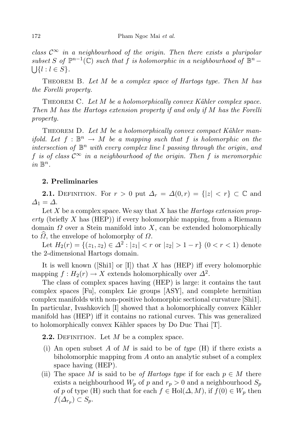*class*  $\mathcal{C}^{\infty}$  *in a neighbourhood of the origin.* Then *there exists a pluripolar subset S* of  $\mathbb{P}^{n-1}(\mathbb{C})$  *such that f is holomorphic in a neighbourhood of*  $\mathbb{B}^n - \{ \mid \} \{ l : l \in S \}.$  ${l}$   ${l}$   $l$   $l \in S$  }.

Theorem B. *Let M be a complex space of Hartogs type. Then M has the Forelli property.*

Theorem C. *Let M be a holomorphically convex K¨ahler complex space. Then M has the Hartogs extension property if and only if M has the Forelli property.*

THEOREM D. Let M be a holomorphically convex compact Kähler man*ifold.* Let  $f : \mathbb{B}^n \to M$  be a mapping such that  $f$  is holomorphic on the *intersection of* B *<sup>n</sup> with every complex line l passing through the origin*, *and f is of class*  $C^{\infty}$  *in a neighbourhood of the origin. Then f is meromorphic*  $in \mathbb{B}^n$ .

## **2. Preliminaries**

**2.1.** DEFINITION. For  $r > 0$  put  $\Delta_r = \Delta(0,r) = \{|z| < r\} \subset \mathbb{C}$  and  $\Delta_1 = \Delta$ .

Let *X* be a complex space. We say that *X* has the *Hartogs extension property* (briefly *X* has (HEP)) if every holomorphic mapping, from a Riemann domain *Ω* over a Stein manifold into *X*, can be extended holomorphically to  $\hat{\Omega}$ , the envelope of holomorphy of  $\Omega$ .

Let  $H_2(r) = \{(z_1, z_2) \in \Delta^2 : |z_1| < r \text{ or } |z_2| > 1 - r\}$   $(0 < r < 1)$  denote the 2-dimensional Hartogs domain.

It is well known ([Shi1] or [I]) that *X* has (HEP) iff every holomorphic mapping  $f: H_2(r) \to X$  extends holomorphically over  $\Delta^2$ .

The class of complex spaces having (HEP) is large: it contains the taut complex spaces [Fu], complex Lie groups [ASY], and complete hermitian complex manifolds with non-positive holomorphic sectional curvature [Shi1]. In particular, Ivashkovich  $[I]$  showed that a holomorphically convex Kähler manifold has (HEP) iff it contains no rational curves. This was generalized to holomorphically convex Kähler spaces by Do Duc Thai [T].

**2.2.** DEFINITION. Let M be a complex space.

- (i) An open subset *A* of *M* is said to be of *type* (H) if there exists a biholomorphic mapping from *A* onto an analytic subset of a complex space having (HEP).
- (ii) The space *M* is said to be *of Hartogs type* if for each  $p \in M$  there exists a neighbourhood  $W_p$  of  $p$  and  $r_p > 0$  and a neighbourhood  $S_p$ of *p* of type (H) such that for each  $f \in Hol(\Delta, M)$ , if  $f(0) \in W_p$  then  $f(\Delta_{r_p})$  ⊂  $S_p$ .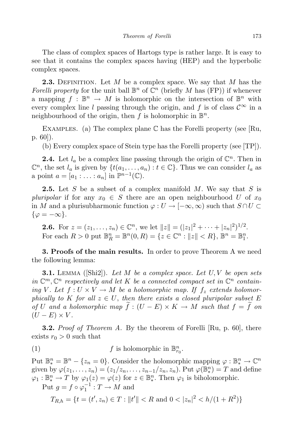The class of complex spaces of Hartogs type is rather large. It is easy to see that it contains the complex spaces having (HEP) and the hyperbolic complex spaces.

**2.3.** DEFINITION. Let *M* be a complex space. We say that *M* has the *Forelli property* for the unit ball  $\mathbb{B}^n$  of  $\mathbb{C}^n$  (briefly *M* has (FP)) if whenever a mapping  $f : \mathbb{B}^n \to M$  is holomorphic on the intersection of  $\mathbb{B}^n$  with every complex line *l* passing through the origin, and *f* is of class  $\mathcal{C}^{\infty}$  in a neighbourhood of the origin, then  $f$  is holomorphic in  $\mathbb{B}^n$ .

EXAMPLES. (a) The complex plane  $\mathbb C$  has the Forelli property (see [Ru, p. 60]).

(b) Every complex space of Stein type has the Forelli property (see [TP]).

**2.4.** Let  $l_a$  be a complex line passing through the origin of  $\mathbb{C}^n$ . Then in  $\mathbb{C}^n$ , the set  $l_a$  is given by  $\{t(a_1, \ldots, a_n) : t \in \mathbb{C}\}$ . Thus we can consider  $l_a$  as a point  $a = [a_1 : \ldots : a_n]$  in  $\mathbb{P}^{n-1}(\mathbb{C})$ .

**2.5.** Let *S* be a subset of a complex manifold *M*. We say that *S* is *pluripolar* if for any  $x_0 \in S$  there are an open neighbourhood *U* of  $x_0$ in *M* and a plurisubharmonic function  $\varphi: U \to [-\infty, \infty)$  such that  $S \cap U \subset$ *{ϕ* = *−∞}*.

**2.6.** For  $z = (z_1, ..., z_n) \in \mathbb{C}^n$ , we let  $||z|| = (|z_1|^2 + \cdots + |z_n|^2)^{1/2}$ . For each  $R > 0$  put  $\mathbb{B}_{R}^{n} = \mathbb{B}^{n}(0, R) = \{z \in \mathbb{C}^{n} : ||z|| < R\}, \mathbb{B}^{n} = \mathbb{B}_{1}^{n}$ .

**3. Proofs of the main results.** In order to prove Theorem A we need the following lemma:

**3.1.** Lemma ([Shi2]). *Let M be a complex space. Let U, V be open sets in*  $\mathbb{C}^m$ ,  $\mathbb{C}^n$  respectively and let K be a connected compact set in  $\mathbb{C}^n$  contain*ing V*. Let  $f: U \times V \to M$  be a holomorphic map. If  $f_z$  extends holomor*phically to K for all*  $z \in U$ , *then there exists a closed pluripolar subset E of U* and a holomorphic map  $f : (U - E) \times K \to M$  such that  $f = f$  *on*  $(U - E) \times V$ .

**3.2.** *Proof of Theorem A.* By the theorem of Forelli [Ru, p. 60], there exists  $r_0 > 0$  such that

(1) 
$$
f
$$
 is holomorphic in  $\mathbb{B}_{r_0}^n$ .

Put  $\mathbb{B}_{*}^{n} = \mathbb{B}^{n} - \{z_{n} = 0\}$ . Consider the holomorphic mapping  $\varphi : \mathbb{B}_{*}^{n} \to \mathbb{C}^{n}$ given by  $\varphi(z_1,\ldots,z_n)=(z_1/z_n,\ldots,z_{n-1}/z_n,z_n)$ . Put  $\varphi(\mathbb{B}_*^n)$  $\binom{n}{*} = T$  and define  $\varphi_1 : \mathbb{B}^n_* \to T$  by  $\varphi_1(z) = \varphi(z)$  for  $z \in \mathbb{B}^n_*$  $\chi^2$ . Then  $\varphi_1$  is biholomorphic. Put  $g = f \circ \varphi_1^{-1} : T \to M$  and

$$
T_{R,h} = \{ t = (t', z_n) \in T : ||t'|| < R \text{ and } 0 < |z_n|^2 < h/(1 + R^2) \}
$$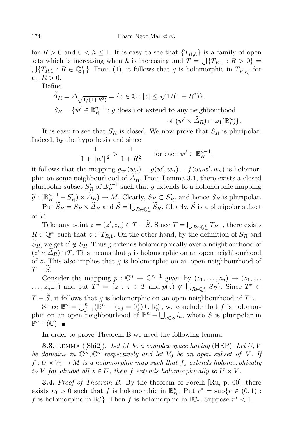for  $R > 0$  and  $0 < h \leq 1$ . It is easy to see that  ${T_{R,h}}$  is a family of open sets which is increasing when *h* is increasing and  $T = \bigcup$ sets which is increasing when *h* is increasing and  $T = \bigcup \{T_{R,1} : R > 0\} = \bigcup \{T_{R,1} : R \in \mathbb{Q}_+^*\}$ . From (1), it follows that *g* is holomorphic in  $T_{R,r_0^2}$  for all  $R > 0$ .

Define

$$
\widetilde{\Delta}_R = \overline{\Delta}_{\sqrt{1/(1+R^2)}} = \{ z \in \mathbb{C} : |z| \le \sqrt{1/(1+R^2)} \},
$$
  
\n
$$
S_R = \{ w' \in \mathbb{B}_R^{n-1} : g \text{ does not extend to any neighbourhood of } (w' \times \widetilde{\Delta}_R) \cap \varphi_1(\mathbb{B}_*^n) \}.
$$

It is easy to see that *S<sup>R</sup>* is closed. We now prove that *S<sup>R</sup>* is pluripolar. Indeed, by the hypothesis and since

$$
\frac{1}{1 + \|w'\|^2} > \frac{1}{1 + R^2} \quad \text{for each } w' \in \mathbb{B}_R^{n-1},
$$

it follows that the mapping  $g_{w'}(w_n) = g(w', w_n) = f(w_n w', w_n)$  is holomorphic on some neighbourhood of  $\Delta_R$ . From Lemma 3.1, there exists a closed pluripolar subset  $S'_R$  of  $\mathbb{B}_R^{n-1}$  such that *g* extends to a holomorphic mapping  $\widetilde{g}: (\mathbb{B}_{R}^{n-1} - S_{R}') \times \widetilde{\Delta}_{R}) \to M.$  Clearly,  $S_{R} \subset S_{R}'$ , and hence  $S_{R}$  is pluripolar.

Put  $\widetilde{S}_R = S_R \times \widetilde{\Delta}_R$  and  $\widetilde{S} = \bigcup_{R \in \mathbb{Q}_+^*} \widetilde{S}_R$ . Clearly,  $\widetilde{S}$  is a pluripolar subset of *T*.

Take any point  $z = (z', z_n) \in T - \tilde{S}$ . Since  $T = \bigcup_{R \in \mathbb{Q}_+^*} T_{R,1}$ , there exists  $R \in \mathbb{Q}_+^*$  such that  $z \in T_{R,1}$ . On the other hand, by the definition of  $S_R$  and  $S_R$ , we get  $z' \notin S_R$ . Thus *g* extends holomorphically over a neighbourhood of  $(z' \times \Delta_R) \cap T$ . This means that *g* is holomorphic on an open neighbourhood of *z*. This also implies that *g* is holomorphic on an open neighbourhood of  $T - \widetilde{S}$ .

Consider the mapping  $p : \mathbb{C}^n \to \mathbb{C}^{n-1}$  given by  $(z_1, \ldots, z_n) \mapsto (z_1, \ldots, z_n)$  $\ldots, z_{n-1}$  and put  $T^* = \{z : z \in T \text{ and } p(z) \notin \bigcup_{R \in \mathbb{Q}_+^*} S_R\}.$  Since  $T^* \subset$ 

*T* − *S*, it follows that *g* is holomorphic on an open neighbourhood of  $T^*$ . Since  $\mathbb{B}^n = \bigcup_{j=1}^n (\mathbb{B}^n - \{z_j = 0\}) \cup \mathbb{B}^n_{r_0}$ , we conclude that *f* is holomorphic on an open neighbourhood of  $\mathbb{B}^n - \bigcup_{a \in S} l_a$ , where *S* is pluripolar in P *n−*1 (C)*.*

In order to prove Theorem B we need the following lemma:

**3.3.** Lemma ([Shi2]). *Let M be a complex space having* (HEP). *Let U, V be domains* in  $\mathbb{C}^m$ ,  $\mathbb{C}^n$  *respectively* and *let*  $V_0$  *be an open subset of V*. If  $f: U \times V_0 \to M$  *is a holomorphic map such that*  $f_z$  *extends holomorphically to V for almost all*  $z \in U$ , *then f extends holomorphically to*  $U \times V$ .

**3.4.** *Proof of Theorem B.* By the theorem of Forelli [Ru, p. 60], there exists  $r_0 > 0$  such that  $f$  is holomorphic in  $\mathbb{B}_{r_0}^n$ . Put  $r^* = \sup\{r \in (0,1) :$ *f* is holomorphic in  $\mathbb{B}_r^n$ . Then *f* is holomorphic in  $\mathbb{B}_{r^*}^n$ . Suppose  $r^* < 1$ .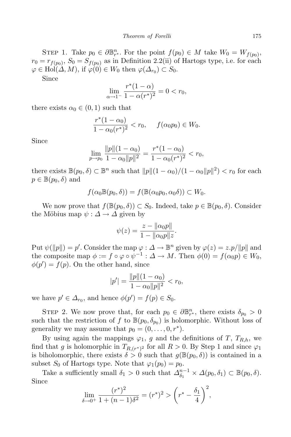STEP 1. Take  $p_0 \in \partial \mathbb{B}_{r^*}^n$ . For the point  $f(p_0) \in M$  take  $W_0 = W_{f(p_0)},$  $r_0 = r_{f(p_0)}, S_0 = S_{f(p_0)}$  as in Definition 2.2(ii) of Hartogs type, i.e. for each  $\varphi \in Hol(\Delta, M)$ , if  $\varphi(0) \in W_0$  then  $\varphi(\Delta_{r_0}) \subset S_0$ .

Since

$$
\lim_{\alpha \to 1^{-}} \frac{r^*(1-\alpha)}{1-\alpha(r^*)^2} = 0 < r_0,
$$

there exists  $\alpha_0 \in (0,1)$  such that

$$
\frac{r^*(1-\alpha_0)}{1-\alpha_0(r^*)^2} < r_0, \quad f(\alpha_0 p_0) \in W_0.
$$

Since

$$
\lim_{p \to p_0} \frac{\|p\|(1-\alpha_0)}{1-\alpha_0\|p\|^2} = \frac{r^*(1-\alpha_0)}{1-\alpha_0(r^*)^2} < r_0,
$$

there exists  $\mathbb{B}(p_0, \delta) \subset \mathbb{B}^n$  such that  $||p||(1-\alpha_0)/(1-\alpha_0||p||^2) < r_0$  for each  $p \in \mathbb{B}(p_0, \delta)$  and

$$
f(\alpha_0 \mathbb{B}(p_0,\delta)) = f(\mathbb{B}(\alpha_0 p_0,\alpha_0 \delta)) \subset W_0.
$$

We now prove that  $f(\mathbb{B}(p_0, \delta)) \subset S_0$ . Indeed, take  $p \in \mathbb{B}(p_0, \delta)$ . Consider the Möbius map  $\psi : \Delta \to \Delta$  given by

$$
\psi(z) = \frac{z - ||\alpha_0 p||}{1 - ||\alpha_0 p||z}.
$$

Put  $\psi(\|p\|) = p'$ . Consider the map  $\varphi : \Delta \to \mathbb{B}^n$  given by  $\varphi(z) = z.p/\|p\|$  and the composite map  $\phi := f \circ \varphi \circ \psi^{-1} : \Delta \to M$ . Then  $\phi(0) = f(\alpha_0 p) \in W_0$ ,  $\phi(p') = f(p)$ . On the other hand, since

$$
|p'| = \frac{\|p\|(1-\alpha_0)}{1-\alpha_0\|p\|^2} < r_0,
$$

we have  $p' \in \Delta_{r_0}$ , and hence  $\phi(p') = f(p) \in S_0$ .

STEP 2. We now prove that, for each  $p_0 \in \partial \mathbb{B}_{r^*}^n$ , there exists  $\delta_{p_0} > 0$ such that the restriction of  $f$  to  $\mathbb{B}(p_0, \delta_{p_0})$  is holomorphic. Without loss of generality we may assume that  $p_0 = (0, \ldots, 0, r^*)$ .

By using again the mappings  $\varphi_1$ , *g* and the definitions of *T*,  $T_{Rh}$ , we find that *g* is holomorphic in  $T_{R,(r^*)^2}$  for all  $R > 0$ . By Step 1 and since  $\varphi_1$ is biholomorphic, there exists  $\delta > 0$  such that  $g(\mathbb{B}(p_0, \delta))$  is contained in a subset  $S_0$  of Hartogs type. Note that  $\varphi_1(p_0) = p_0$ .

Take a sufficiently small  $\delta_1 > 0$  such that  $\Delta_{\delta_1}^{n-1} \times \Delta(p_0, \delta_1) \subset \mathbb{B}(p_0, \delta)$ . Since

$$
\lim_{\delta \to 0^+} \frac{(r^*)^2}{1 + (n-1)\delta^2} = (r^*)^2 > \left(r^* - \frac{\delta_1}{4}\right)^2,
$$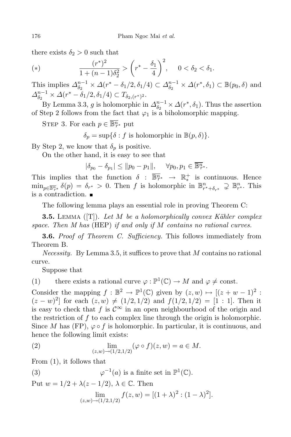there exists  $\delta_2 > 0$  such that

(\*) 
$$
\frac{(r^*)^2}{1 + (n-1)\delta_2^2} > \left(r^* - \frac{\delta_1}{4}\right)^2, \quad 0 < \delta_2 < \delta_1.
$$

This implies  $\Delta_{\delta_2}^{n-1} \times \Delta(r^* - \delta_1/2, \delta_1/4) \subset \Delta_{\delta_2}^{n-1} \times \Delta(r^*, \delta_1) \subset \mathbb{B}(p_0, \delta)$  and  $\Delta_{\delta_2}^{n-1} \times \Delta(r^* - \delta_1/2, \delta_1/4) \subset T_{\delta_2, (r^*)^2}.$ 

By Lemma 3.3, *g* is holomorphic in  $\Delta_{\delta_2}^{n-1} \times \Delta(r^*, \delta_1)$ . Thus the assertion of Step 2 follows from the fact that  $\varphi_1$  is a biholomorphic mapping.

STEP 3. For each  $p \in \overline{\mathbb{B}^n_{r^*}}$  put

 $\delta_p = \sup{\{\delta : f \text{ is holomorphic in } \mathbb{B}(p,\delta)\}.}$ 

By Step 2, we know that  $\delta_p$  is positive.

On the other hand, it is easy to see that

 $|\delta_{p_0} - \delta_{p_1}| \leq ||p_0 - p_1||, \quad \forall p_0, p_1 \in \overline{\mathbb{B}^n_r^*}.$ 

This implies that the function  $\delta : \overline{\mathbb{B}^n_{r^*}} \to \mathbb{R}^+_*$  is continuous. Hence  $\min_{p \in \overline{\mathbb{B}^n_{r^*}}} \delta(p) = \delta_{r^*} > 0.$  Then f is holomorphic in  $\mathbb{B}^n_{r^* + \delta_{r^*}} \supsetneq \mathbb{B}^n_{r^*}.$  This is a contradiction.

The following lemma plays an essential role in proving Theorem C:

**3.5.** Lemma ([T]). *Let M be a holomorphically convex K¨ahler complex space. Then M has* (HEP) *if and only if M contains no rational curves.*

**3.6.** *Proof of Theorem C. Sufficiency.* This follows immediately from Theorem B.

*Necessity.* By Lemma 3.5, it suffices to prove that *M* contains no rational curve.

Suppose that

(1) there exists a rational curve  $\varphi : \mathbb{P}^1(\mathbb{C}) \to M$  and  $\varphi \neq \text{const.}$ 

Consider the mapping  $f : \mathbb{B}^2 \to \mathbb{P}^1(\mathbb{C})$  given by  $(z, w) \mapsto [(z+w-1)^2 :$  $(z - w)^2$  for each  $(z, w) \neq (1/2, 1/2)$  and  $f(1/2, 1/2) = [1 : 1]$ . Then it is easy to check that *f* is  $\mathcal{C}^{\infty}$  in an open neighbourhood of the origin and the restriction of *f* to each complex line through the origin is holomorphic. Since *M* has (FP),  $\varphi \circ f$  is holomorphic. In particular, it is continuous, and hence the following limit exists:

(2) 
$$
\lim_{(z,w)\to(1/2,1/2)} (\varphi \circ f)(z,w) = a \in M.
$$

From (1), it follows that

 $\varphi$  (3)  $\varphi$  $\mathbb{P}^1(a)$  is a finite set in  $\mathbb{P}^1(\mathbb{C})$ .

Put  $w = 1/2 + \lambda(z - 1/2), \lambda \in \mathbb{C}$ . Then

$$
\lim_{(z,w)\to(1/2,1/2)} f(z,w) = [(1+\lambda)^2 : (1-\lambda)^2].
$$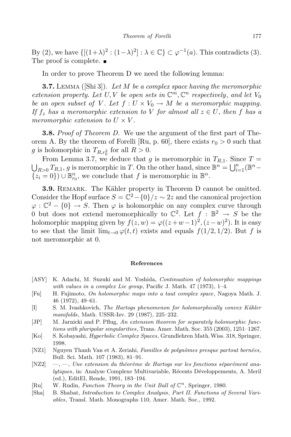By (2), we have  $\{[(1+\lambda)^2 : (1-\lambda)^2] : \lambda \in \mathbb{C}\} \subset \varphi^{-1}(a)$ . This contradicts (3). The proof is complete.

In order to prove Theorem D we need the following lemma:

**3.7.** Lemma ([Shi 3]). *Let M be a complex space having the meromorphic extension property.* Let  $U, V$  be open sets in  $\mathbb{C}^m, \mathbb{C}^n$  respectively, and let  $V_0$ *be* an open subset of V. Let  $f: U \times V_0 \to M$  be a meromorphic mapping. *If*  $f_z$  *has a meromorphic extension to V for almost all*  $z \in U$ , *then f has a meromorphic extension to*  $U \times V$ .

**3.8.** *Proof of Theorem D.* We use the argument of the first part of Theorem A. By the theorem of Forelli [Ru, p. 60], there exists  $r_0 > 0$  such that g is holomorphic in  $T_{R,r_0^2}$  for all  $R > 0$ .

From Lemma 3.7, we deduce that *g* is meromorphic in  $T_{R,1}$ . Since  $T =$ <br> $\bigcup_{P>0} T_{R,1}$ , *q* is meromorphic in *T*. On the other hand, since  $\mathbb{B}^n = \bigcup_{i=1}^n (\mathbb{B}^n F_{R>0}$   $T_{R,1}$ ,  $g$  is meromorphic in  $T$ . On the other hand, since  $\mathbb{B}^n = \bigcup_{i=1}^n (\mathbb{B}^n \{z_i = 0\}$ ) *∪*  $\mathbb{B}_{r_0}^n$ , we conclude that *f* is meromorphic in  $\mathbb{B}^n$ .

**3.9.** REMARK. The Kähler property in Theorem D cannot be omitted. Consider the Hopf surface  $S = \mathbb{C}^2 - \{0\}/z \sim 2z$  and the canonical projection  $\varphi : \mathbb{C}^2 - \{0\} \to S$ . Then  $\varphi$  is holomorphic on any complex curve through 0 but does not extend meromorphically to  $\mathbb{C}^2$ . Let  $f : \mathbb{B}^2 \to S$  be the holomorphic mapping given by  $f(z, w) = \varphi((z+w-1)^2, (z-w)^2)$ . It is easy to see that the limit  $\lim_{t\to 0} \varphi(t,t)$  exists and equals  $f(1/2, 1/2)$ *.* But f is not meromorphic at 0.

## **References**

- [ASY] K. Adachi, M. Suzuki and M. Yoshida, *Continuation of holomorphic mappings with values in a complex Lie group*, Pacific J. Math. 47 (1973), 1–4.
- [Fu] H. Fujimoto, *On holomorphic maps into a taut complex space*, Nagoya Math. J. 46 (1972), 49–61.
- [I] S. M. Ivashkovich, *The Hartogs phenomenon for holomorphically convex K¨ahler manifolds*, Math. USSR-Izv. 29 (1987), 225–232.
- [JP] M. Jarnicki and P. Pflug, *An extension theorem for separately holomorphic functions with pluripolar singularities*, Trans. Amer. Math. Soc. 355 (2003), 1251–1267.
- [Ko] S. Kobayashi, *Hyperbolic Complex Spaces*, Grundlehren Math.Wiss. 318, Springer, 1998.
- [NZ1] Nguyen Thanh Van et A. Zeriahi, *Familles de polynˆomes presque partout born´ees*, Bull. Sci. Math. 107 (1983), 81–91.
- $[NZ2] \quad \text{---}, \quad \text{One extension du théorème de Hartogs sur les fonctions séparément ana$ *lytiques*, in: Analyse Complexe Multivariable, Récents Développements, A. Meril (ed.), EditEl, Rende, 1991, 183–194.
- [Ru] W. Rudin, *Function Theory in the Unit Ball of* C *n* , Springer, 1980.
- [Sha] B. Shabat, *Introduction to Complex Analysis*, *Part II. Functions of Several Variables*, Transl. Math. Monographs 110, Amer. Math. Soc., 1992.